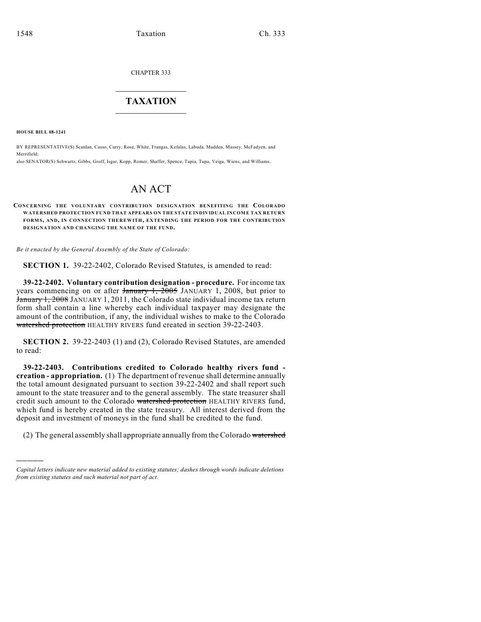CHAPTER 333

## $\mathcal{L}_\text{max}$  . The set of the set of the set of the set of the set of the set of the set of the set of the set of the set of the set of the set of the set of the set of the set of the set of the set of the set of the set **TAXATION**  $\_$

**HOUSE BILL 08-1241**

)))))

BY REPRESENTATIVE(S) Scanlan, Casso, Curry, Rose, White, Frangas, Kefalas, Labuda, Madden, Massey, McFadyen, and Merrifield;

also SENATOR(S) Schwartz, Gibbs, Groff, Isgar, Kopp, Romer, Shaffer, Spence, Tapia, Tupa, Veiga, Wiens, and Williams.

## AN ACT

## **CONCERNING THE VOLUNTARY CONTRIBUTION DESIGNATION BENEFITING THE COLORADO WATERSHED PROTECTION FUND THAT APPEARS ON THE STATE INDIVIDUAL INCOME TAX RETURN FORM S, AND, IN CONNECTION THEREWITH, EXTENDING THE PERIOD FOR THE CONTRIBUTION DESIGNATION AND CHANGING THE NAME OF THE FUND.**

*Be it enacted by the General Assembly of the State of Colorado:*

**SECTION 1.** 39-22-2402, Colorado Revised Statutes, is amended to read:

**39-22-2402. Voluntary contribution designation - procedure.** For income tax years commencing on or after  $\frac{1}{2005}$  JANUARY 1, 2008, but prior to January 1, 2008 JANUARY 1, 2011, the Colorado state individual income tax return form shall contain a line whereby each individual taxpayer may designate the amount of the contribution, if any, the individual wishes to make to the Colorado watershed protection HEALTHY RIVERS fund created in section 39-22-2403.

**SECTION 2.** 39-22-2403 (1) and (2), Colorado Revised Statutes, are amended to read:

**39-22-2403. Contributions credited to Colorado healthy rivers fund creation - appropriation.** (1) The department of revenue shall determine annually the total amount designated pursuant to section 39-22-2402 and shall report such amount to the state treasurer and to the general assembly. The state treasurer shall credit such amount to the Colorado watershed protection HEALTHY RIVERS fund, which fund is hereby created in the state treasury. All interest derived from the deposit and investment of moneys in the fund shall be credited to the fund.

(2) The general assembly shall appropriate annually from the Colorado watershed

*Capital letters indicate new material added to existing statutes; dashes through words indicate deletions from existing statutes and such material not part of act.*